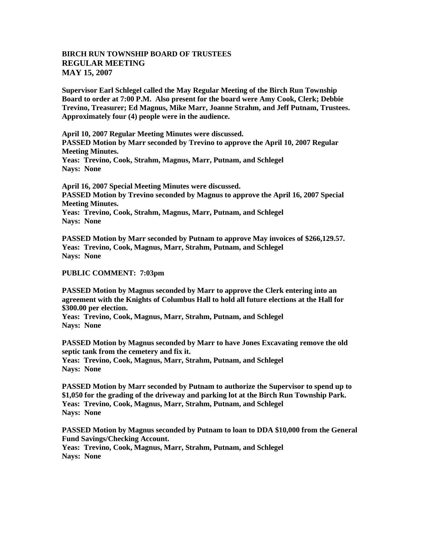## **BIRCH RUN TOWNSHIP BOARD OF TRUSTEES REGULAR MEETING MAY 15, 2007**

**Supervisor Earl Schlegel called the May Regular Meeting of the Birch Run Township Board to order at 7:00 P.M. Also present for the board were Amy Cook, Clerk; Debbie Trevino, Treasurer; Ed Magnus, Mike Marr, Joanne Strahm, and Jeff Putnam, Trustees. Approximately four (4) people were in the audience.** 

**April 10, 2007 Regular Meeting Minutes were discussed.**

**PASSED Motion by Marr seconded by Trevino to approve the April 10, 2007 Regular Meeting Minutes.**

**Yeas: Trevino, Cook, Strahm, Magnus, Marr, Putnam, and Schlegel Nays: None** 

**April 16, 2007 Special Meeting Minutes were discussed. PASSED Motion by Trevino seconded by Magnus to approve the April 16, 2007 Special Meeting Minutes. Yeas: Trevino, Cook, Strahm, Magnus, Marr, Putnam, and Schlegel Nays: None** 

**PASSED Motion by Marr seconded by Putnam to approve May invoices of \$266,129.57. Yeas: Trevino, Cook, Magnus, Marr, Strahm, Putnam, and Schlegel Nays: None**

**PUBLIC COMMENT: 7:03pm**

**PASSED Motion by Magnus seconded by Marr to approve the Clerk entering into an agreement with the Knights of Columbus Hall to hold all future elections at the Hall for \$300.00 per election.**

**Yeas: Trevino, Cook, Magnus, Marr, Strahm, Putnam, and Schlegel Nays: None**

**PASSED Motion by Magnus seconded by Marr to have Jones Excavating remove the old septic tank from the cemetery and fix it.**

**Yeas: Trevino, Cook, Magnus, Marr, Strahm, Putnam, and Schlegel Nays: None**

**PASSED Motion by Marr seconded by Putnam to authorize the Supervisor to spend up to \$1,050 for the grading of the driveway and parking lot at the Birch Run Township Park. Yeas: Trevino, Cook, Magnus, Marr, Strahm, Putnam, and Schlegel Nays: None**

**PASSED Motion by Magnus seconded by Putnam to loan to DDA \$10,000 from the General Fund Savings/Checking Account. Yeas: Trevino, Cook, Magnus, Marr, Strahm, Putnam, and Schlegel**

**Nays: None**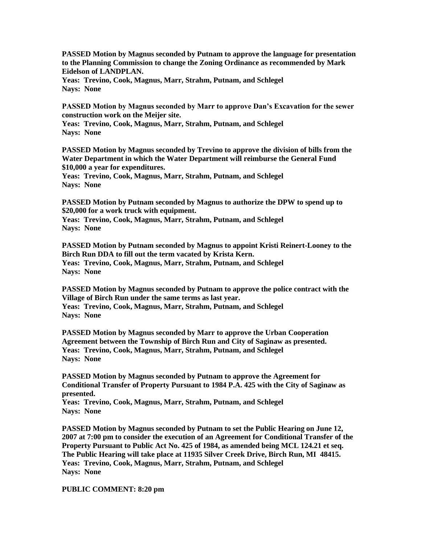**PASSED Motion by Magnus seconded by Putnam to approve the language for presentation to the Planning Commission to change the Zoning Ordinance as recommended by Mark Eidelson of LANDPLAN.**

**Yeas: Trevino, Cook, Magnus, Marr, Strahm, Putnam, and Schlegel Nays: None**

**PASSED Motion by Magnus seconded by Marr to approve Dan's Excavation for the sewer construction work on the Meijer site.** 

**Yeas: Trevino, Cook, Magnus, Marr, Strahm, Putnam, and Schlegel Nays: None**

**PASSED Motion by Magnus seconded by Trevino to approve the division of bills from the Water Department in which the Water Department will reimburse the General Fund \$10,000 a year for expenditures.**

**Yeas: Trevino, Cook, Magnus, Marr, Strahm, Putnam, and Schlegel Nays: None**

**PASSED Motion by Putnam seconded by Magnus to authorize the DPW to spend up to \$20,000 for a work truck with equipment.**

**Yeas: Trevino, Cook, Magnus, Marr, Strahm, Putnam, and Schlegel Nays: None**

**PASSED Motion by Putnam seconded by Magnus to appoint Kristi Reinert-Looney to the Birch Run DDA to fill out the term vacated by Krista Kern. Yeas: Trevino, Cook, Magnus, Marr, Strahm, Putnam, and Schlegel Nays: None**

**PASSED Motion by Magnus seconded by Putnam to approve the police contract with the Village of Birch Run under the same terms as last year.**

**Yeas: Trevino, Cook, Magnus, Marr, Strahm, Putnam, and Schlegel Nays: None**

**PASSED Motion by Magnus seconded by Marr to approve the Urban Cooperation Agreement between the Township of Birch Run and City of Saginaw as presented. Yeas: Trevino, Cook, Magnus, Marr, Strahm, Putnam, and Schlegel Nays: None**

**PASSED Motion by Magnus seconded by Putnam to approve the Agreement for Conditional Transfer of Property Pursuant to 1984 P.A. 425 with the City of Saginaw as presented.**

**Yeas: Trevino, Cook, Magnus, Marr, Strahm, Putnam, and Schlegel Nays: None**

**PASSED Motion by Magnus seconded by Putnam to set the Public Hearing on June 12, 2007 at 7:00 pm to consider the execution of an Agreement for Conditional Transfer of the Property Pursuant to Public Act No. 425 of 1984, as amended being MCL 124.21 et seq. The Public Hearing will take place at 11935 Silver Creek Drive, Birch Run, MI 48415. Yeas: Trevino, Cook, Magnus, Marr, Strahm, Putnam, and Schlegel Nays: None**

## **PUBLIC COMMENT: 8:20 pm**